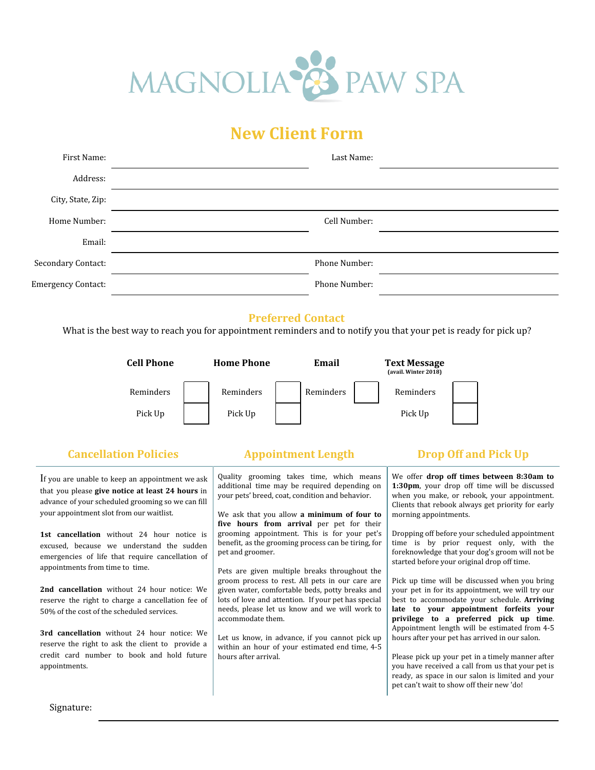

## **New Client Form**

| First Name:               | Last Name:    |
|---------------------------|---------------|
| Address:                  |               |
| City, State, Zip:         |               |
| Home Number:              | Cell Number:  |
| Email:                    |               |
| Secondary Contact:        | Phone Number: |
| <b>Emergency Contact:</b> | Phone Number: |

### **Preferred Contact**

What is the best way to reach you for appointment reminders and to notify you that your pet is ready for pick up?



### **Cancellation Policies Appointment Length Drop Off and Pick Up**

If you are unable to keep an appointment we ask that you please **give notice at least 24 hours** in advance of your scheduled grooming so we can fill your appointment slot from our waitlist.

**1st cancellation** without 24 hour notice is excused, because we understand the sudden emergencies of life that require cancellation of appointments from time to time.

**2nd cancellation** without 24 hour notice: We reserve the right to charge a cancellation fee of 50% of the cost of the scheduled services.

**3rd cancellation** without 24 hour notice: We reserve the right to ask the client to provide a credit card number to book and hold future appointments.

Quality grooming takes time, which means additional time may be required depending on your pets' breed, coat, condition and behavior.

We ask that you allow **a minimum of four to five hours from arrival** per pet for their grooming appointment. This is for your pet's benefit, as the grooming process can be tiring, for pet and groomer.

Pets are given multiple breaks throughout the groom process to rest. All pets in our care are given water, comfortable beds, potty breaks and lots of love and attention. If your pet has special needs, please let us know and we will work to accommodate them.

Let us know, in advance, if you cannot pick up within an hour of your estimated end time, 4-5 hours after arrival.

We offer **drop off times between 8:30am to 1:30pm**, your drop off time will be discussed when you make, or rebook, your appointment. Clients that rebook always get priority for early morning appointments.

Dropping off before your scheduled appointment time is by prior request only, with the foreknowledge that your dog's groom will not be started before your original drop off time.

Pick up time will be discussed when you bring your pet in for its appointment, we will try our best to accommodate your schedule. **Arriving late to your appointment forfeits your privilege to a preferred pick up time**. Appointment length will be estimated from 4-5 hours after your pet has arrived in our salon.

Please pick up your pet in a timely manner after you have received a call from us that your pet is ready, as space in our salon is limited and your pet can't wait to show off their new 'do!

Signature: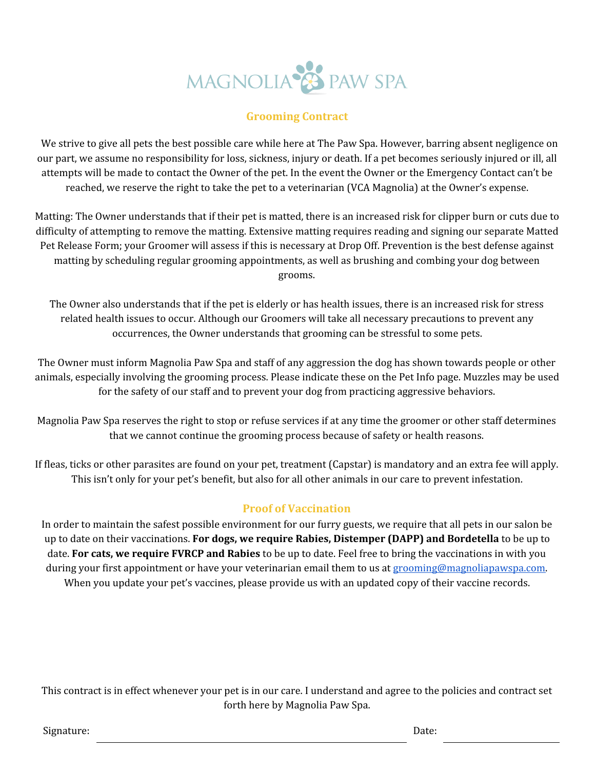# MAGNOLIA<sup>S</sup> PAW SPA

### **Grooming Contract**

We strive to give all pets the best possible care while here at The Paw Spa. However, barring absent negligence on our part, we assume no responsibility for loss, sickness, injury or death. If a pet becomes seriously injured or ill, all attempts will be made to contact the Owner of the pet. In the event the Owner or the Emergency Contact can't be reached, we reserve the right to take the pet to a veterinarian (VCA Magnolia) at the Owner's expense.

Matting: The Owner understands that if their pet is matted, there is an increased risk for clipper burn or cuts due to difficulty of attempting to remove the matting. Extensive matting requires reading and signing our separate Matted Pet Release Form; your Groomer will assess if this is necessary at Drop Off. Prevention is the best defense against matting by scheduling regular grooming appointments, as well as brushing and combing your dog between grooms.

The Owner also understands that if the pet is elderly or has health issues, there is an increased risk for stress related health issues to occur. Although our Groomers will take all necessary precautions to prevent any occurrences, the Owner understands that grooming can be stressful to some pets.

The Owner must inform Magnolia Paw Spa and staff of any aggression the dog has shown towards people or other animals, especially involving the grooming process. Please indicate these on the Pet Info page. Muzzles may be used for the safety of our staff and to prevent your dog from practicing aggressive behaviors.

Magnolia Paw Spa reserves the right to stop or refuse services if at any time the groomer or other staff determines that we cannot continue the grooming process because of safety or health reasons.

If fleas, ticks or other parasites are found on your pet, treatment (Capstar) is mandatory and an extra fee will apply. This isn't only for your pet's benefit, but also for all other animals in our care to prevent infestation.

## **Proof of Vaccination**

In order to maintain the safest possible environment for our furry guests, we require that all pets in our salon be up to date on their vaccinations. **For dogs, we require Rabies, Distemper (DAPP) and Bordetella** to be up to date. **For cats, we require FVRCP and Rabies** to be up to date. Feel free to bring the vaccinations in with you during your first appointment or have your veterinarian email them to us at [grooming@magnoliapawspa.com.](mailto:grooming@magnoliapawspa.com) When you update your pet's vaccines, please provide us with an updated copy of their vaccine records.

This contract is in effect whenever your pet is in our care. I understand and agree to the policies and contract set forth here by Magnolia Paw Spa.

Signature: Date: